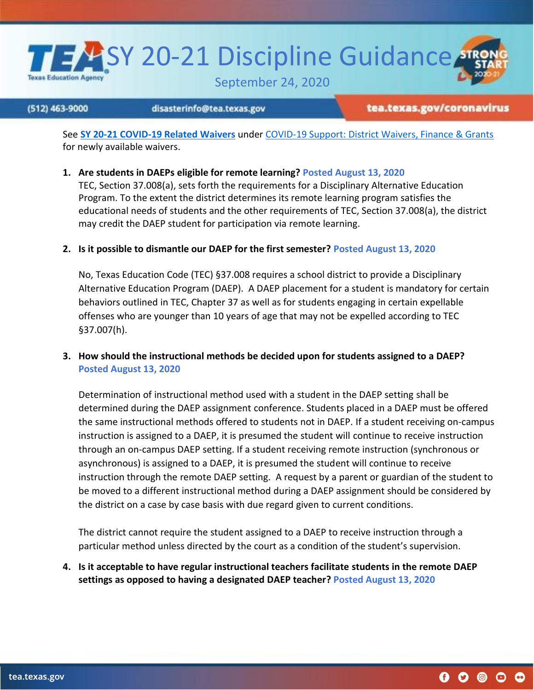4 SY 20-21 Discipline Guidance exas Education Agency

September 24, 2020

(512) 463-9000

disasterinfo@tea.texas.gov

tea.texas.gov/coronavirus

See **[SY 20-21 COVID-19 Related Waivers](https://tea.texas.gov/sites/default/files/covid/COVID-19-Waivers-List.pdf)** under [COVID-19 Support: District Waivers, Finance & Grants](https://tea.texas.gov/texas-schools/health-safety-discipline/covid/covid-19-support-district-waivers-finance-grants#waivers) for newly available waivers.

**1. Are students in DAEPs eligible for remote learning? Posted August 13, 2020**

TEC, Section 37.008(a), sets forth the requirements for a Disciplinary Alternative Education Program. To the extent the district determines its remote learning program satisfies the educational needs of students and the other requirements of TEC, Section 37.008(a), the district may credit the DAEP student for participation via remote learning.

#### **2. Is it possible to dismantle our DAEP for the first semester? Posted August 13, 2020**

No, Texas Education Code (TEC) §37.008 requires a school district to provide a Disciplinary Alternative Education Program (DAEP). A DAEP placement for a student is mandatory for certain behaviors outlined in TEC, Chapter 37 as well as for students engaging in certain expellable offenses who are younger than 10 years of age that may not be expelled according to TEC §37.007(h).

**3. How should the instructional methods be decided upon for students assigned to a DAEP? Posted August 13, 2020**

Determination of instructional method used with a student in the DAEP setting shall be determined during the DAEP assignment conference. Students placed in a DAEP must be offered the same instructional methods offered to students not in DAEP. If a student receiving on-campus instruction is assigned to a DAEP, it is presumed the student will continue to receive instruction through an on-campus DAEP setting. If a student receiving remote instruction (synchronous or asynchronous) is assigned to a DAEP, it is presumed the student will continue to receive instruction through the remote DAEP setting. A request by a parent or guardian of the student to be moved to a different instructional method during a DAEP assignment should be considered by the district on a case by case basis with due regard given to current conditions.

The district cannot require the student assigned to a DAEP to receive instruction through a particular method unless directed by the court as a condition of the student's supervision.

**4. Is it acceptable to have regular instructional teachers facilitate students in the remote DAEP settings as opposed to having a designated DAEP teacher? Posted August 13, 2020**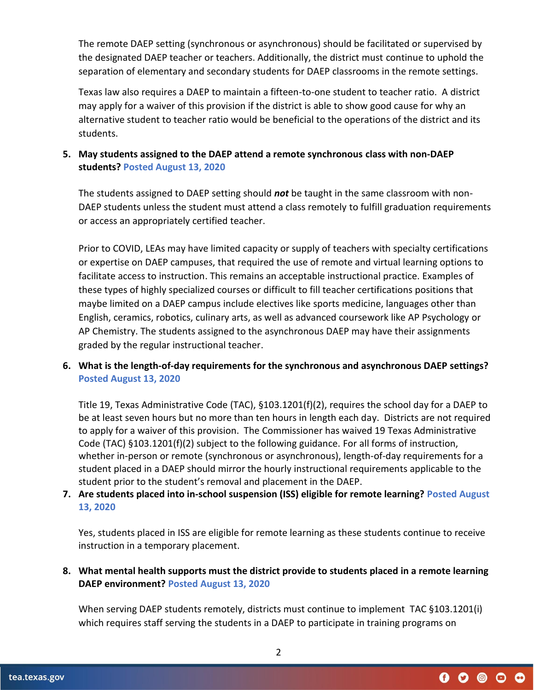The remote DAEP setting (synchronous or asynchronous) should be facilitated or supervised by the designated DAEP teacher or teachers. Additionally, the district must continue to uphold the separation of elementary and secondary students for DAEP classrooms in the remote settings.

Texas law also requires a DAEP to maintain a fifteen-to-one student to teacher ratio. A district may apply for a waiver of this provision if the district is able to show good cause for why an alternative student to teacher ratio would be beneficial to the operations of the district and its students.

## **5. May students assigned to the DAEP attend a remote synchronous class with non-DAEP students? Posted August 13, 2020**

The students assigned to DAEP setting should *not* be taught in the same classroom with non-DAEP students unless the student must attend a class remotely to fulfill graduation requirements or access an appropriately certified teacher.

Prior to COVID, LEAs may have limited capacity or supply of teachers with specialty certifications or expertise on DAEP campuses, that required the use of remote and virtual learning options to facilitate access to instruction. This remains an acceptable instructional practice. Examples of these types of highly specialized courses or difficult to fill teacher certifications positions that maybe limited on a DAEP campus include electives like sports medicine, languages other than English, ceramics, robotics, culinary arts, as well as advanced coursework like AP Psychology or AP Chemistry. The students assigned to the asynchronous DAEP may have their assignments graded by the regular instructional teacher.

### **6. What is the length-of-day requirements for the synchronous and asynchronous DAEP settings? Posted August 13, 2020**

Title 19, Texas Administrative Code (TAC), §103.1201(f)(2), requires the school day for a DAEP to be at least seven hours but no more than ten hours in length each day. Districts are not required to apply for a waiver of this provision. The Commissioner has waived 19 Texas Administrative Code (TAC) §103.1201(f)(2) subject to the following guidance. For all forms of instruction, whether in-person or remote (synchronous or asynchronous), length-of-day requirements for a student placed in a DAEP should mirror the hourly instructional requirements applicable to the student prior to the student's removal and placement in the DAEP.

### **7. Are students placed into in-school suspension (ISS) eligible for remote learning? Posted August 13, 2020**

Yes, students placed in ISS are eligible for remote learning as these students continue to receive instruction in a temporary placement.

# **8. What mental health supports must the district provide to students placed in a remote learning DAEP environment? Posted August 13, 2020**

When serving DAEP students remotely, districts must continue to implement TAC §103.1201(i) which requires staff serving the students in a DAEP to participate in training programs on